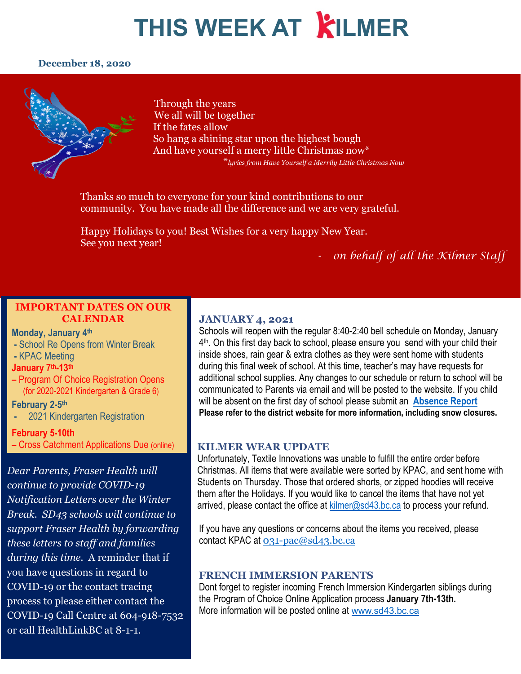#### **December 18, 2020**



Through the years We all will be together If the fates allow So hang a shining star upon the highest bough And have yourself a merry little Christmas now\* \**lyrics from Have Yourself a Merrily Little Christmas Now*

Thanks so much to everyone for your kind contributions to our community. You have made all the difference and we are very grateful.

Happy Holidays to you! Best Wishes for a very happy New Year. See you next year!

#### *- on behalf of all the Kilmer Staff*

#### **IMPORTANT DATES ON OUR CALENDAR**

#### **Monday, January 4th**

- **-** School Re Opens from Winter Break
- **-** KPAC Meeting
- **January 7th-13th**
- **–** Program Of Choice Registration Opens (for 2020-2021 Kindergarten & Grade 6)

#### **February 2-5th**

**-** 2021 Kindergarten Registration

#### **February 5-10th**

**–** Cross Catchment Applications Due (online)

*Dear Parents, Fraser Health will continue to provide COVID-19 Notification Letters over the Winter Break. SD43 schools will continue to support Fraser Health by forwarding these letters to staff and families during this time.* A reminder that if you have questions in regard to COVID-19 or the contact tracing process to please either contact the COVID-19 Call Centre at 604-918-7532 or call HealthLinkBC at 8-1-1.

#### **JANUARY 4, 2021**

Schools will reopen with the regular 8:40-2:40 bell schedule on Monday, January  $4<sup>th</sup>$ . On this first day back to school, please ensure you send with your child their inside shoes, rain gear & extra clothes as they were sent home with students during this final week of school. At this time, teacher's may have requests for additional school supplies. Any changes to our schedule or return to school will be communicated to Parents via email and will be posted to the website. If you child will be absent on the first day of school please submit an **[Absence Report](https://www2016.sd43.bc.ca/eforms/_layouts/15/FormServer.aspx?XsnLocation=http://www2016.sd43.bc.ca/eforms/AbsenceReportForm/Forms/template.xsn&OpenIn=browser&SaveLocation=http://www2016.sd43.bc.ca/eforms/AbsenceReportForm&Source=http://www2016.sd43.bc.ca/eforms/AbsenceReportForm) Please refer to the district website for more information, including snow closures.**

#### **KILMER WEAR UPDATE**

Unfortunately, Textile Innovations was unable to fulfill the entire order before Christmas. All items that were available were sorted by KPAC, and sent home with Students on Thursday. Those that ordered shorts, or zipped hoodies will receive them after the Holidays. If you would like to cancel the items that have not yet arrived, please contact the office at  $k$ ilmer@sd43.bc.ca to process your refund.

If you have any questions or concerns about the items you received, please contact KPAC at [031-pac@sd43.bc.ca](mailto:031-pac@sd43.bc.ca)

#### **FRENCH IMMERSION PARENTS**

Dont forget to register incoming French Immersion Kindergarten siblings during the Program of Choice Online Application process **January 7th-13th.** More information will be posted online at [www.sd43.bc.ca](http://www.sd43.bc.ca/)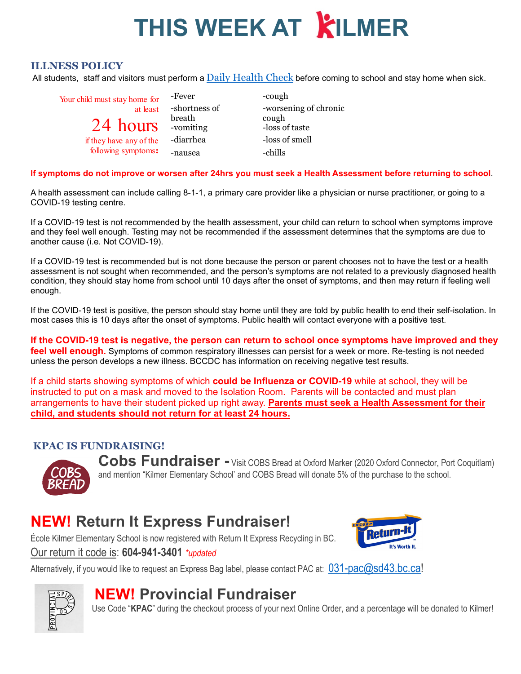#### **ILLNESS POLICY**

All students, staff and visitors must perform a [Daily Health Check](http://www.sd43.bc.ca/Lists/Documents/2020.09.18%20Daily%20Health%20Check%20Screen%20(English).pdf) before coming to school and stay home when sick.

| Your child must stay home for | -Fever              | -cough                  |
|-------------------------------|---------------------|-------------------------|
| at least                      | -shortness of       | -worsening of chronic   |
| 24 hours                      | breath<br>-vomiting | cough<br>-loss of taste |
| if they have any of the       | -diarrhea           | -loss of smell          |
| following symptoms:           | -nausea             | -chills                 |

**If symptoms do not improve or worsen after 24hrs you must seek a Health Assessment before returning to school**.

A health assessment can include calling 8-1-1, a primary care provider like a physician or nurse practitioner, or going to a COVID-19 testing centre.

If a COVID-19 test is not recommended by the health assessment, your child can return to school when symptoms improve and they feel well enough. Testing may not be recommended if the assessment determines that the symptoms are due to another cause (i.e. Not COVID-19).

If a COVID-19 test is recommended but is not done because the person or parent chooses not to have the test or a health assessment is not sought when recommended, and the person's symptoms are not related to a previously diagnosed health condition, they should stay home from school until 10 days after the onset of symptoms, and then may return if feeling well enough.

If the COVID-19 test is positive, the person should stay home until they are told by public health to end their self-isolation. In most cases this is 10 days after the onset of symptoms. Public health will contact everyone with a positive test.

**If the COVID-19 test is negative, the person can return to school once symptoms have improved and they**  feel well enough. Symptoms of common respiratory illnesses can persist for a week or more. Re-testing is not needed unless the person develops a new illness. BCCDC has information on receiving negative test results.

If a child starts showing symptoms of which **could be Influenza or COVID-19** while at school, they will be instructed to put on a mask and moved to the Isolation Room. Parents will be contacted and must plan arrangements to have their student picked up right away. **Parents must seek a Health Assessment for their child, and students should not return for at least 24 hours.** 

#### **KPAC IS FUNDRAISING!**



Cobs Fundraiser - Visit COBS Bread at Oxford Marker (2020 Oxford Connector, Port Coquitlam) and mention "Kilmer Elementary School' and COBS Bread will donate 5% of the purchase to the school.

### **NEW! Return It Express Fundraiser!**

École Kilmer Elementary School is now registered with Return It Express Recycling in BC.

Our return it code is: **604-941-3401** *\*updated*



Alternatively, if you would like to request an Express Bag label, please contact PAC at:  $031$ -pac@sd43.bc.ca!



### **NEW! Provincial Fundraiser**

Use Code "**KPAC**" during the checkout process of your next Online Order, and a percentage will be donated to Kilmer!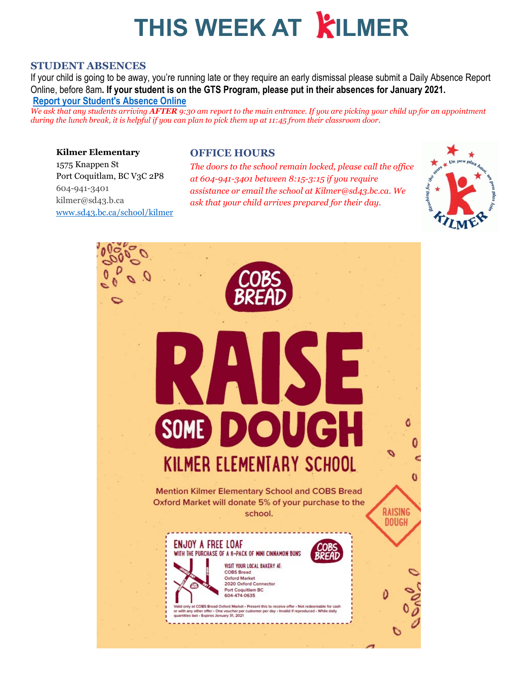#### **STUDENT ABSENCES**

If your child is going to be away, you're running late or they require an early dismissal please submit a Daily Absence Report Online, before 8am**. If your student is on the GTS Program, please put in their absences for January 2021. [Report your Student's Absence Online](https://www2016.sd43.bc.ca/eforms/_layouts/15/FormServer.aspx?XsnLocation=http://www2016.sd43.bc.ca/eforms/AbsenceReportForm/Forms/template.xsn&OpenIn=browser&SaveLocation=http://www2016.sd43.bc.ca/eforms/AbsenceReportForm&Source=http://www2016.sd43.bc.ca/eforms/AbsenceReportForm)**

*We ask that any students arriving AFTER 9:30 am report to the main entrance. If you are picking your child up for an appointment during the lunch break, it is helpful if you can plan to pick them up at 11:45 from their classroom door.*

#### **Kilmer Elementary**

#### **OFFICE HOURS**

1575 Knappen St Port Coquitlam, BC V3C 2P8 604-941-3401 kilmer@sd43.b.ca [www.sd43.bc.ca/school/kilmer](http://www.sd43.bc.ca/school/kilmer)

*The doors to the school remain locked, please call the office at 604-941-3401 between 8:15-3:15 if you require assistance or email the school at Kilmer@sd43.bc.ca. We ask that your child arrives prepared for their day.*